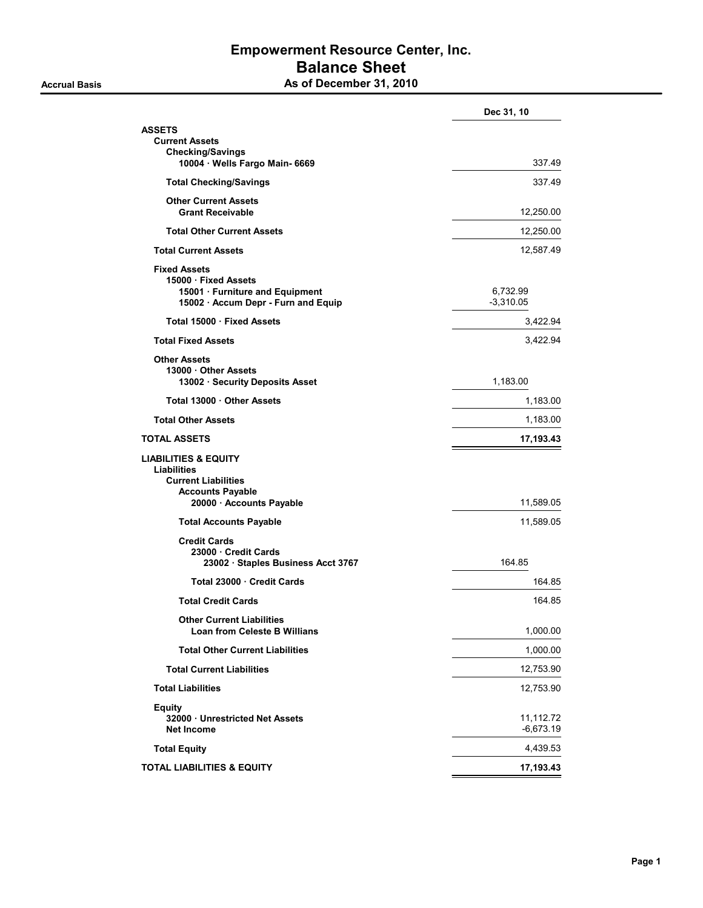## Empowerment Resource Center, Inc. Balance Sheet As of December 31, 2010

|                                                                                                                                            | Dec 31, 10               |
|--------------------------------------------------------------------------------------------------------------------------------------------|--------------------------|
| <b>ASSETS</b><br><b>Current Assets</b><br><b>Checking/Savings</b><br>10004 · Wells Fargo Main- 6669                                        | 337.49                   |
| <b>Total Checking/Savings</b>                                                                                                              | 337.49                   |
| <b>Other Current Assets</b><br><b>Grant Receivable</b>                                                                                     | 12,250.00                |
| <b>Total Other Current Assets</b>                                                                                                          | 12,250.00                |
| <b>Total Current Assets</b>                                                                                                                | 12,587.49                |
| <b>Fixed Assets</b><br>15000 · Fixed Assets<br>15001 · Furniture and Equipment<br>15002 · Accum Depr - Furn and Equip                      | 6,732.99<br>$-3,310.05$  |
| Total 15000 · Fixed Assets                                                                                                                 | 3,422.94                 |
| <b>Total Fixed Assets</b>                                                                                                                  | 3,422.94                 |
| <b>Other Assets</b><br>13000 Other Assets<br>13002 · Security Deposits Asset                                                               | 1,183.00                 |
| Total 13000 Other Assets                                                                                                                   | 1,183.00                 |
| <b>Total Other Assets</b>                                                                                                                  | 1,183.00                 |
| TOTAL ASSETS                                                                                                                               | 17,193.43                |
| <b>LIABILITIES &amp; EQUITY</b><br><b>Liabilities</b><br><b>Current Liabilities</b><br><b>Accounts Payable</b><br>20000 · Accounts Payable | 11,589.05                |
| <b>Total Accounts Payable</b>                                                                                                              | 11,589.05                |
| <b>Credit Cards</b><br>23000 Credit Cards<br>23002 · Staples Business Acct 3767                                                            | 164.85                   |
| Total 23000 Credit Cards                                                                                                                   | 164.85                   |
| <b>Total Credit Cards</b>                                                                                                                  | 164.85                   |
| <b>Other Current Liabilities</b><br><b>Loan from Celeste B Willians</b>                                                                    | 1,000.00                 |
| <b>Total Other Current Liabilities</b>                                                                                                     | 1,000.00                 |
| <b>Total Current Liabilities</b>                                                                                                           | 12,753.90                |
| <b>Total Liabilities</b>                                                                                                                   | 12,753.90                |
| <b>Equity</b><br>32000 Unrestricted Net Assets<br><b>Net Income</b>                                                                        | 11,112.72<br>$-6,673.19$ |
| <b>Total Equity</b>                                                                                                                        | 4,439.53                 |
| <b>TOTAL LIABILITIES &amp; EQUITY</b>                                                                                                      | 17,193.43                |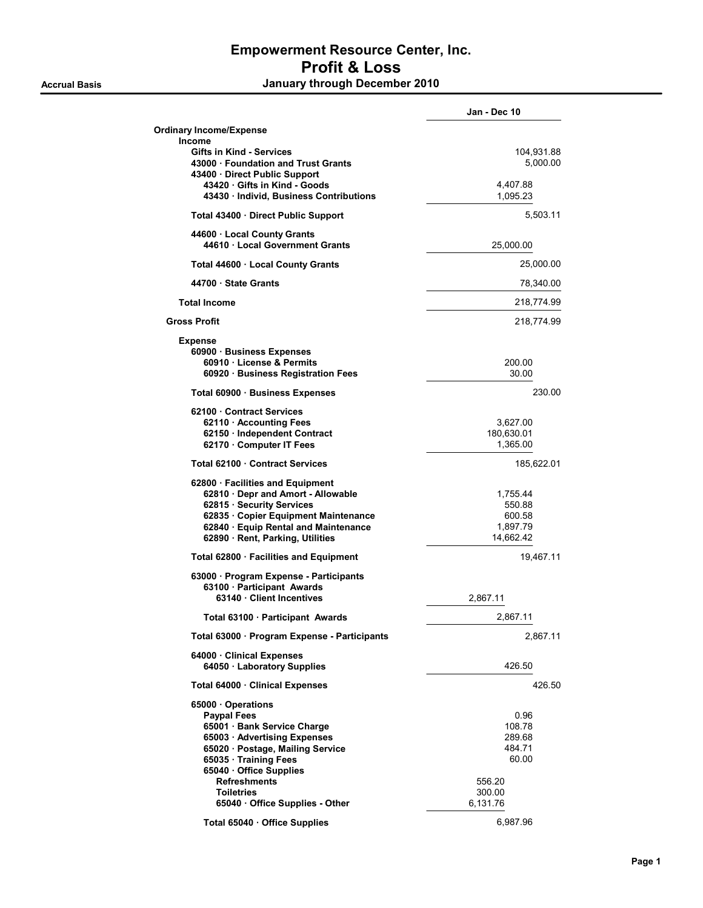## Empowerment Resource Center, Inc. Profit & Loss Accrual Basis **Accrual Basis January through December 2010**

|                                                                                                                                                                                                                                                                        | Jan - Dec 10                                                                |
|------------------------------------------------------------------------------------------------------------------------------------------------------------------------------------------------------------------------------------------------------------------------|-----------------------------------------------------------------------------|
| <b>Ordinary Income/Expense</b>                                                                                                                                                                                                                                         |                                                                             |
| Income<br><b>Gifts in Kind - Services</b><br>43000 Foundation and Trust Grants<br>43400 · Direct Public Support                                                                                                                                                        | 104,931.88<br>5,000.00                                                      |
| 43420 Gifts in Kind - Goods<br>43430 · Individ, Business Contributions                                                                                                                                                                                                 | 4,407.88<br>1,095.23                                                        |
| Total 43400 Direct Public Support                                                                                                                                                                                                                                      | 5,503.11                                                                    |
| 44600 Local County Grants<br>44610 Local Government Grants                                                                                                                                                                                                             | 25,000.00                                                                   |
| Total 44600 · Local County Grants                                                                                                                                                                                                                                      | 25,000.00                                                                   |
| 44700 · State Grants                                                                                                                                                                                                                                                   | 78,340.00                                                                   |
| <b>Total Income</b>                                                                                                                                                                                                                                                    | 218,774.99                                                                  |
| <b>Gross Profit</b>                                                                                                                                                                                                                                                    | 218,774.99                                                                  |
| <b>Expense</b>                                                                                                                                                                                                                                                         |                                                                             |
| 60900 · Business Expenses<br>60910 License & Permits<br>60920 Business Registration Fees                                                                                                                                                                               | 200.00<br>30.00                                                             |
| Total 60900 · Business Expenses                                                                                                                                                                                                                                        | 230.00                                                                      |
| 62100 Contract Services<br>62110 Accounting Fees<br>62150 · Independent Contract<br>62170 · Computer IT Fees                                                                                                                                                           | 3,627.00<br>180,630.01<br>1,365.00                                          |
| Total 62100 Contract Services                                                                                                                                                                                                                                          | 185,622.01                                                                  |
| 62800 · Facilities and Equipment<br>62810 · Depr and Amort - Allowable<br>62815 · Security Services<br>62835 · Copier Equipment Maintenance<br>62840 · Equip Rental and Maintenance<br>62890 · Rent, Parking, Utilities                                                | 1,755.44<br>550.88<br>600.58<br>1,897.79<br>14,662.42                       |
| Total 62800 · Facilities and Equipment                                                                                                                                                                                                                                 | 19.467.11                                                                   |
| 63000 · Program Expense - Participants<br>63100 · Participant Awards<br>63140 Client Incentives                                                                                                                                                                        | 2,867.11                                                                    |
| Total 63100 · Participant Awards                                                                                                                                                                                                                                       | 2,867.11                                                                    |
| Total 63000 · Program Expense - Participants                                                                                                                                                                                                                           | 2,867.11                                                                    |
| 64000 Clinical Expenses<br>64050 · Laboratory Supplies                                                                                                                                                                                                                 | 426.50                                                                      |
| Total 64000 · Clinical Expenses                                                                                                                                                                                                                                        | 426.50                                                                      |
| 65000 Operations<br><b>Paypal Fees</b><br>65001 Bank Service Charge<br>65003 Advertising Expenses<br>65020 · Postage, Mailing Service<br>65035 · Training Fees<br>65040 Office Supplies<br><b>Refreshments</b><br><b>Toiletries</b><br>65040 · Office Supplies - Other | 0.96<br>108.78<br>289.68<br>484.71<br>60.00<br>556.20<br>300.00<br>6,131.76 |
| Total 65040 · Office Supplies                                                                                                                                                                                                                                          | 6,987.96                                                                    |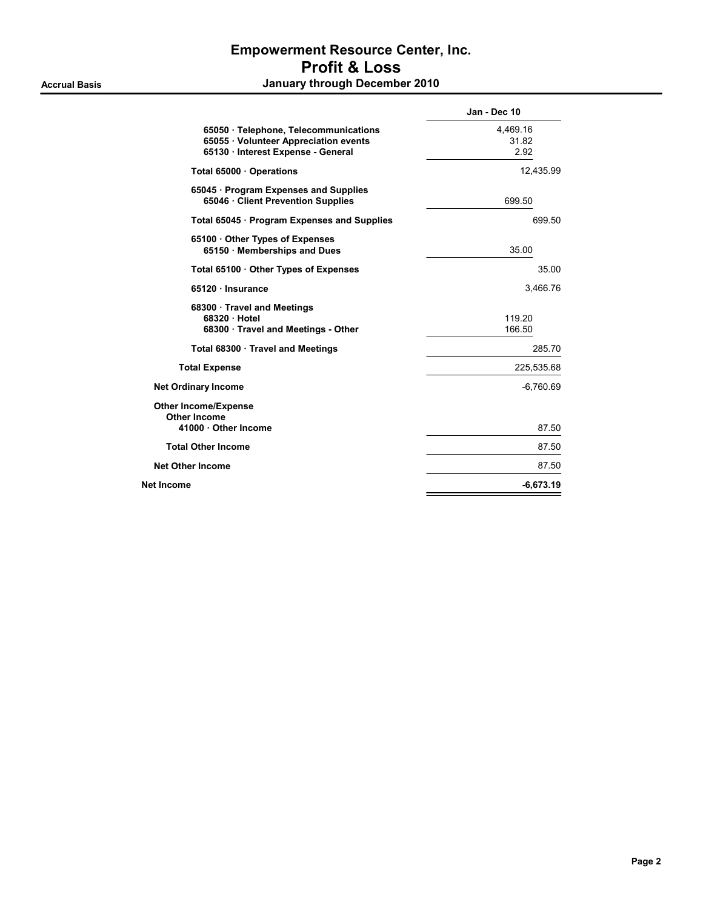## Empowerment Resource Center, Inc. Profit & Loss Accrual Basis **Accrual Basis January through December 2010**

| Jan - Dec 10              |
|---------------------------|
| 4,469.16<br>31.82<br>2.92 |
| 12,435.99                 |
| 699.50                    |
| 699.50                    |
| 35.00                     |
| 35.00                     |
| 3,466.76                  |
| 119.20<br>166.50          |
| 285.70                    |
| 225,535.68                |
| $-6,760.69$               |
| 87.50                     |
| 87.50                     |
| 87.50                     |
| $-6,673.19$               |
|                           |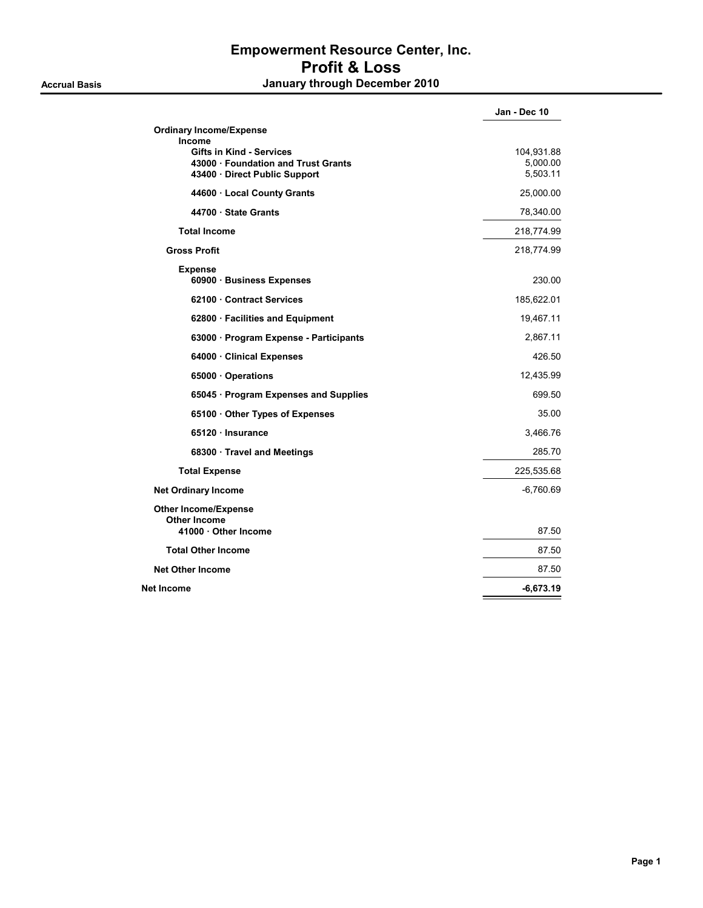## Empowerment Resource Center, Inc. Profit & Loss Accrual Basis **Accrual Basis January through December 2010**

|                                             | Jan - Dec 10 |
|---------------------------------------------|--------------|
| <b>Ordinary Income/Expense</b>              |              |
| Income<br><b>Gifts in Kind - Services</b>   | 104,931.88   |
| 43000 · Foundation and Trust Grants         | 5,000.00     |
| 43400 · Direct Public Support               | 5,503.11     |
| 44600 · Local County Grants                 | 25,000.00    |
| 44700 · State Grants                        | 78,340.00    |
| <b>Total Income</b>                         | 218,774.99   |
| <b>Gross Profit</b>                         | 218,774.99   |
| <b>Expense</b><br>60900 · Business Expenses | 230.00       |
| 62100 Contract Services                     | 185,622.01   |
| 62800 · Facilities and Equipment            | 19,467.11    |
| 63000 · Program Expense - Participants      | 2,867.11     |
| 64000 · Clinical Expenses                   | 426.50       |
| 65000 · Operations                          | 12,435.99    |
| 65045 · Program Expenses and Supplies       | 699.50       |
| 65100 Other Types of Expenses               | 35.00        |
| 65120 Insurance                             | 3,466.76     |
| 68300 · Travel and Meetings                 | 285.70       |
| <b>Total Expense</b>                        | 225,535.68   |
| <b>Net Ordinary Income</b>                  | $-6,760.69$  |
| <b>Other Income/Expense</b>                 |              |
| <b>Other Income</b><br>41000 Other Income   | 87.50        |
| <b>Total Other Income</b>                   | 87.50        |
| <b>Net Other Income</b>                     | 87.50        |
| Net Income                                  | $-6,673.19$  |
|                                             |              |